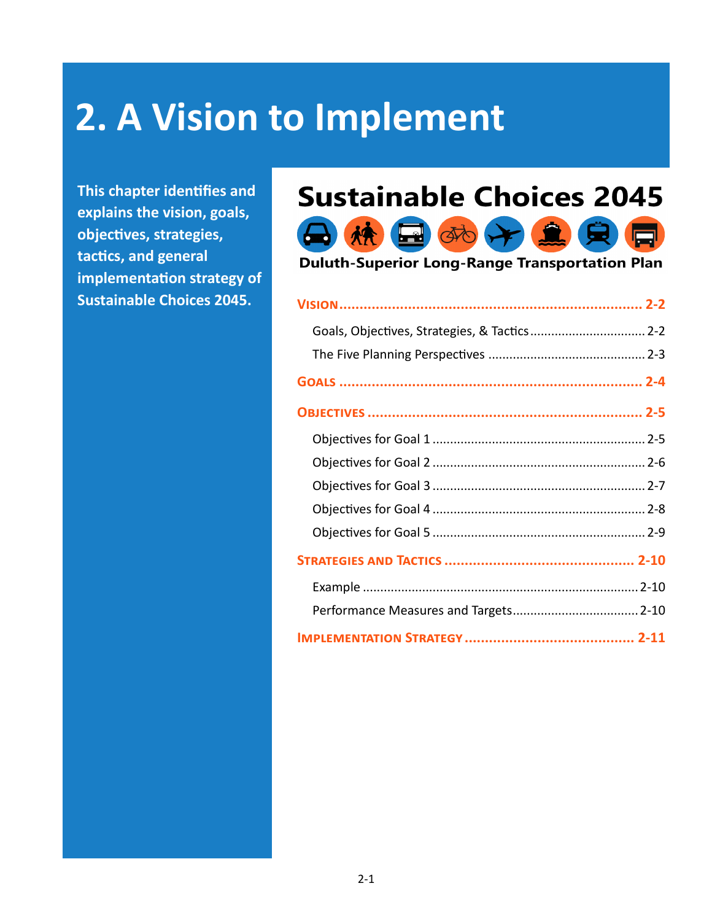# **2. A Vision to Implement**

 $\bigoplus$ 

**This chapter identifies and explains the vision, goals, objectives, strategies, tactics, and general implementation strategy of Sustainable Choices 2045.**

## **Sustainable Choices 2045**



**Duluth-Superior Long-Range Transportation Plan** 

| Goals, Objectives, Strategies, & Tactics 2-2 |  |
|----------------------------------------------|--|
|                                              |  |
|                                              |  |
|                                              |  |
|                                              |  |
|                                              |  |
|                                              |  |
|                                              |  |
|                                              |  |
|                                              |  |
|                                              |  |
|                                              |  |
|                                              |  |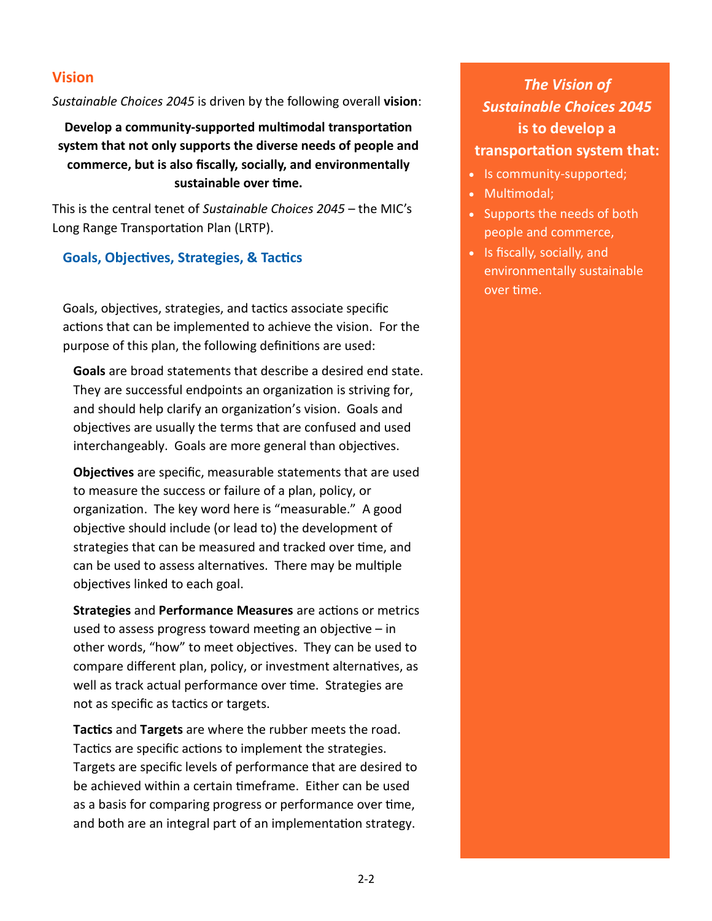#### **Vision**

*Sustainable Choices 2045* is driven by the following overall **vision**:

**Develop a community-supported multimodal transportation system that not only supports the diverse needs of people and commerce, but is also fiscally, socially, and environmentally sustainable over time.**

This is the central tenet of *Sustainable Choices 2045* – the MIC's Long Range Transportation Plan (LRTP).

#### **Goals, Objectives, Strategies, & Tactics**

Goals, objectives, strategies, and tactics associate specific actions that can be implemented to achieve the vision. For the purpose of this plan, the following definitions are used:

**Goals** are broad statements that describe a desired end state. They are successful endpoints an organization is striving for, and should help clarify an organization's vision. Goals and objectives are usually the terms that are confused and used interchangeably. Goals are more general than objectives.

**Objectives** are specific, measurable statements that are used to measure the success or failure of a plan, policy, or organization. The key word here is "measurable." A good objective should include (or lead to) the development of strategies that can be measured and tracked over time, and can be used to assess alternatives. There may be multiple objectives linked to each goal.

**Strategies** and **Performance Measures** are actions or metrics used to assess progress toward meeting an objective – in other words, "how" to meet objectives. They can be used to compare different plan, policy, or investment alternatives, as well as track actual performance over time. Strategies are not as specific as tactics or targets.

**Tactics** and **Targets** are where the rubber meets the road. Tactics are specific actions to implement the strategies. Targets are specific levels of performance that are desired to be achieved within a certain timeframe. Either can be used as a basis for comparing progress or performance over time, and both are an integral part of an implementation strategy.

*The Vision of Sustainable Choices 2045*  **is to develop a transportation system that:**

- Is community-supported;
- Multimodal;
- Supports the needs of both people and commerce,
- Is fiscally, socially, and environmentally sustainable over time.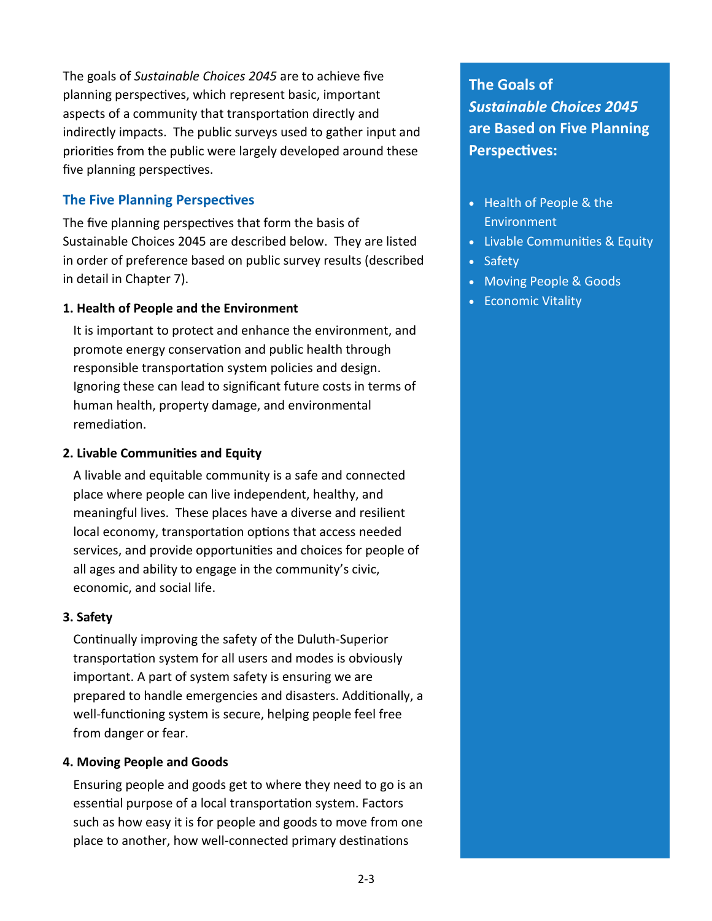The goals of *Sustainable Choices 2045* are to achieve five planning perspectives, which represent basic, important aspects of a community that transportation directly and indirectly impacts. The public surveys used to gather input and priorities from the public were largely developed around these five planning perspectives.

#### **The Five Planning Perspectives**

The five planning perspectives that form the basis of Sustainable Choices 2045 are described below. They are listed in order of preference based on public survey results (described in detail in Chapter 7).

#### **1. Health of People and the Environment**

It is important to protect and enhance the environment, and promote energy conservation and public health through responsible transportation system policies and design. Ignoring these can lead to significant future costs in terms of human health, property damage, and environmental remediation.

#### **2. Livable Communities and Equity**

A livable and equitable community is a safe and connected place where people can live independent, healthy, and meaningful lives. These places have a diverse and resilient local economy, transportation options that access needed services, and provide opportunities and choices for people of all ages and ability to engage in the community's civic, economic, and social life.

#### **3. Safety**

Continually improving the safety of the Duluth-Superior transportation system for all users and modes is obviously important. A part of system safety is ensuring we are prepared to handle emergencies and disasters. Additionally, a well-functioning system is secure, helping people feel free from danger or fear.

#### **4. Moving People and Goods**

Ensuring people and goods get to where they need to go is an essential purpose of a local transportation system. Factors such as how easy it is for people and goods to move from one place to another, how well-connected primary destinations

**The Goals of**  *Sustainable Choices 2045*  **are Based on Five Planning Perspectives:**

- Health of People & the Environment
- Livable Communities & Equity
- Safety
- Moving People & Goods
- Economic Vitality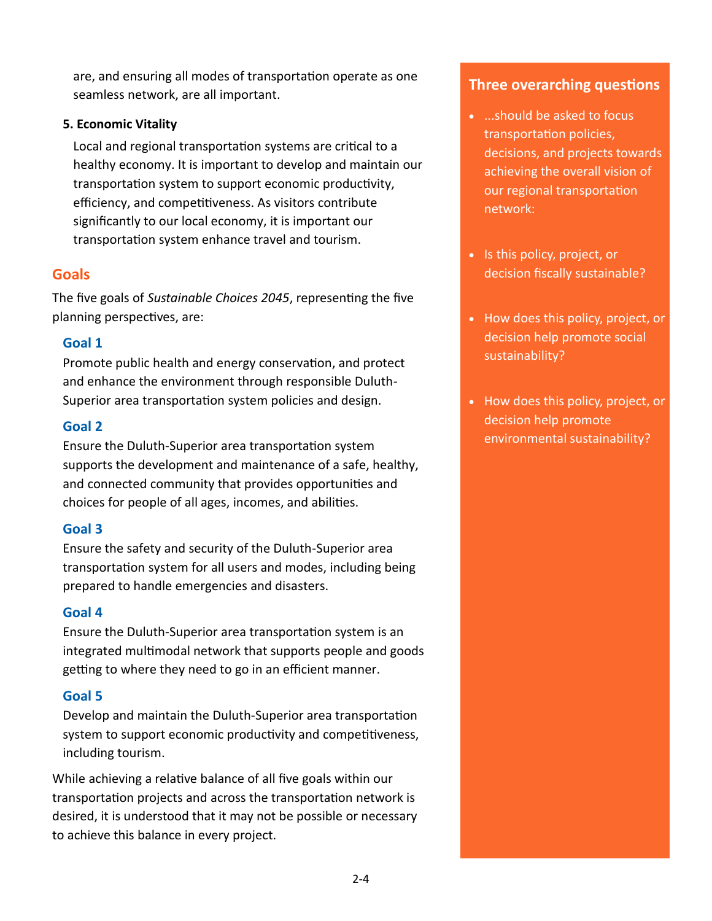are, and ensuring all modes of transportation operate as one seamless network, are all important.

#### **5. Economic Vitality**

Local and regional transportation systems are critical to a healthy economy. It is important to develop and maintain our transportation system to support economic productivity, efficiency, and competitiveness. As visitors contribute significantly to our local economy, it is important our transportation system enhance travel and tourism.

#### **Goals**

The five goals of *Sustainable Choices 2045*, representing the five planning perspectives, are:

#### **Goal 1**

Promote public health and energy conservation, and protect and enhance the environment through responsible Duluth-Superior area transportation system policies and design.

#### **Goal 2**

Ensure the Duluth-Superior area transportation system supports the development and maintenance of a safe, healthy, and connected community that provides opportunities and choices for people of all ages, incomes, and abilities.

#### **Goal 3**

Ensure the safety and security of the Duluth-Superior area transportation system for all users and modes, including being prepared to handle emergencies and disasters.

#### **Goal 4**

Ensure the Duluth-Superior area transportation system is an integrated multimodal network that supports people and goods getting to where they need to go in an efficient manner.

#### **Goal 5**

Develop and maintain the Duluth-Superior area transportation system to support economic productivity and competitiveness, including tourism.

While achieving a relative balance of all five goals within our transportation projects and across the transportation network is desired, it is understood that it may not be possible or necessary to achieve this balance in every project.

#### **Three overarching questions**

- ...should be asked to focus transportation policies, decisions, and projects towards achieving the overall vision of our regional transportation network:
- Is this policy, project, or decision fiscally sustainable?
- How does this policy, project, or decision help promote social sustainability?
- How does this policy, project, or decision help promote environmental sustainability?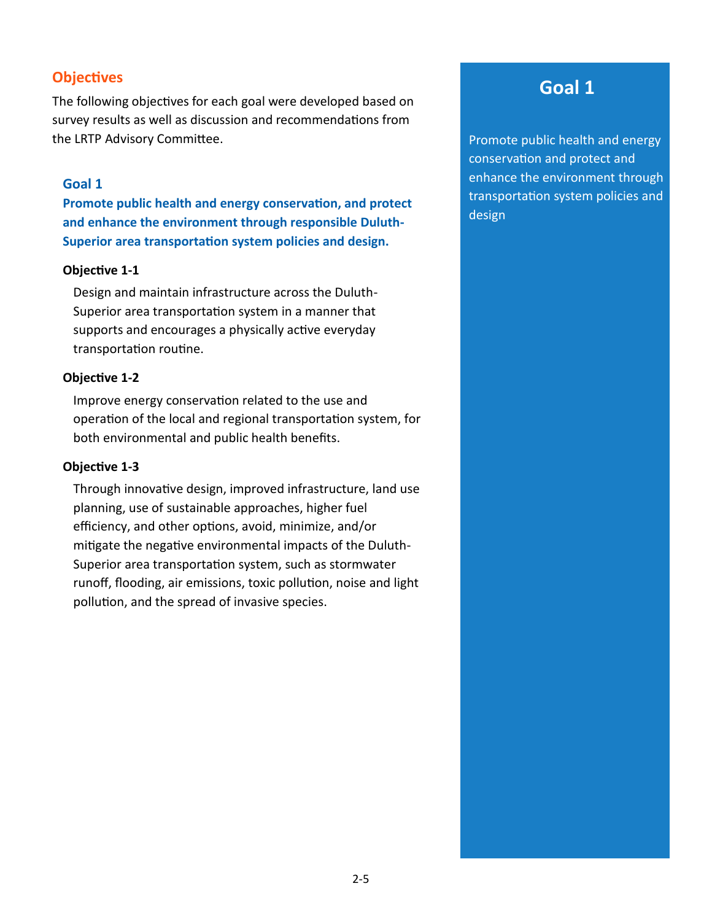#### **Objectives**

The following objectives for each goal were developed based on survey results as well as discussion and recommendations from the LRTP Advisory Committee.

#### **Goal 1**

**Promote public health and energy conservation, and protect and enhance the environment through responsible Duluth-Superior area transportation system policies and design.**

#### **Objective 1-1**

Design and maintain infrastructure across the Duluth-Superior area transportation system in a manner that supports and encourages a physically active everyday transportation routine.

#### **Objective 1-2**

Improve energy conservation related to the use and operation of the local and regional transportation system, for both environmental and public health benefits.

#### **Objective 1-3**

Through innovative design, improved infrastructure, land use planning, use of sustainable approaches, higher fuel efficiency, and other options, avoid, minimize, and/or mitigate the negative environmental impacts of the Duluth-Superior area transportation system, such as stormwater runoff, flooding, air emissions, toxic pollution, noise and light pollution, and the spread of invasive species.

## **Goal 1**

Promote public health and energy conservation and protect and enhance the environment through transportation system policies and design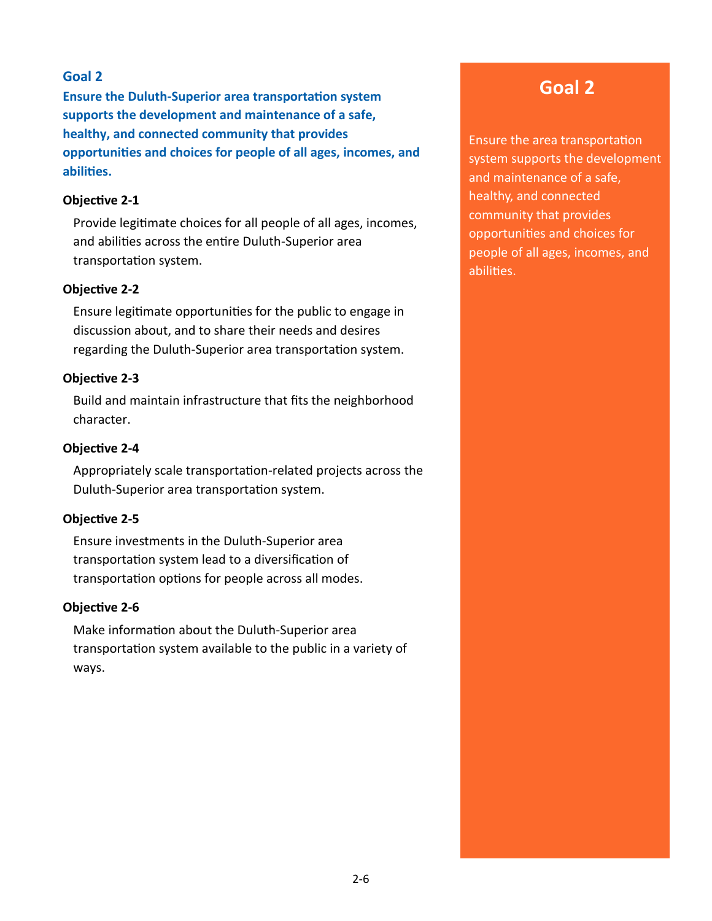**Ensure the Duluth-Superior area transportation system supports the development and maintenance of a safe, healthy, and connected community that provides opportunities and choices for people of all ages, incomes, and abilities.**

#### **Objective 2-1**

Provide legitimate choices for all people of all ages, incomes, and abilities across the entire Duluth-Superior area transportation system.

#### **Objective 2-2**

Ensure legitimate opportunities for the public to engage in discussion about, and to share their needs and desires regarding the Duluth-Superior area transportation system.

#### **Objective 2-3**

Build and maintain infrastructure that fits the neighborhood character.

#### **Objective 2-4**

Appropriately scale transportation-related projects across the Duluth-Superior area transportation system.

#### **Objective 2-5**

Ensure investments in the Duluth-Superior area transportation system lead to a diversification of transportation options for people across all modes.

#### **Objective 2-6**

Make information about the Duluth-Superior area transportation system available to the public in a variety of ways.

## **Goal 2**

Ensure the area transportation system supports the development and maintenance of a safe, healthy, and connected community that provides opportunities and choices for people of all ages, incomes, and abilities.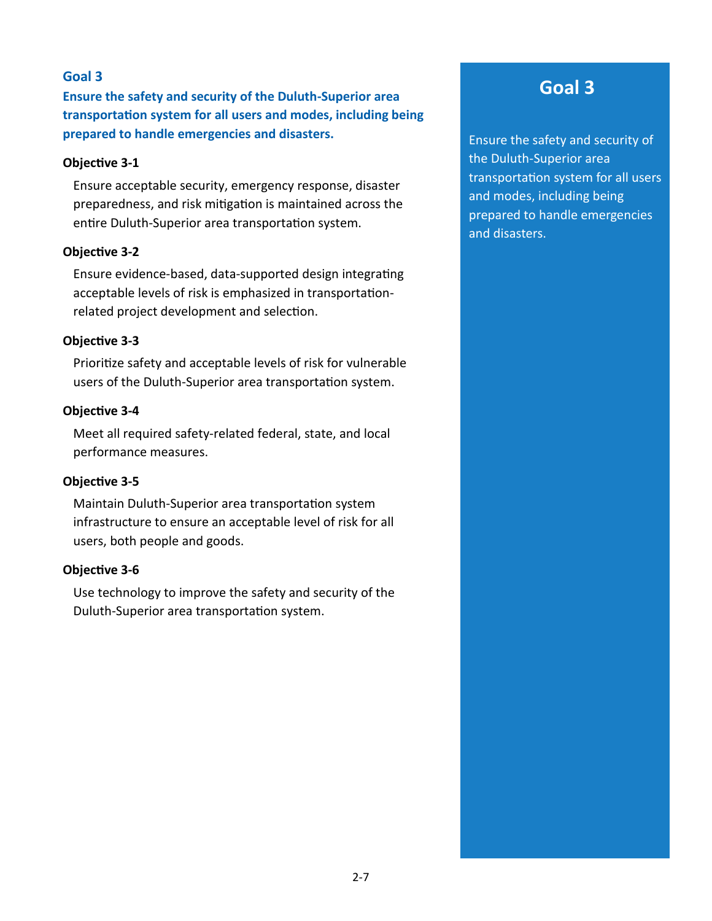**Ensure the safety and security of the Duluth-Superior area transportation system for all users and modes, including being prepared to handle emergencies and disasters.**

#### **Objective 3-1**

Ensure acceptable security, emergency response, disaster preparedness, and risk mitigation is maintained across the entire Duluth-Superior area transportation system.

#### **Objective 3-2**

Ensure evidence-based, data-supported design integrating acceptable levels of risk is emphasized in transportationrelated project development and selection.

#### **Objective 3-3**

Prioritize safety and acceptable levels of risk for vulnerable users of the Duluth-Superior area transportation system.

#### **Objective 3-4**

Meet all required safety-related federal, state, and local performance measures.

#### **Objective 3-5**

Maintain Duluth-Superior area transportation system infrastructure to ensure an acceptable level of risk for all users, both people and goods.

#### **Objective 3-6**

Use technology to improve the safety and security of the Duluth-Superior area transportation system.

## **Goal 3**

Ensure the safety and security of the Duluth-Superior area transportation system for all users and modes, including being prepared to handle emergencies and disasters.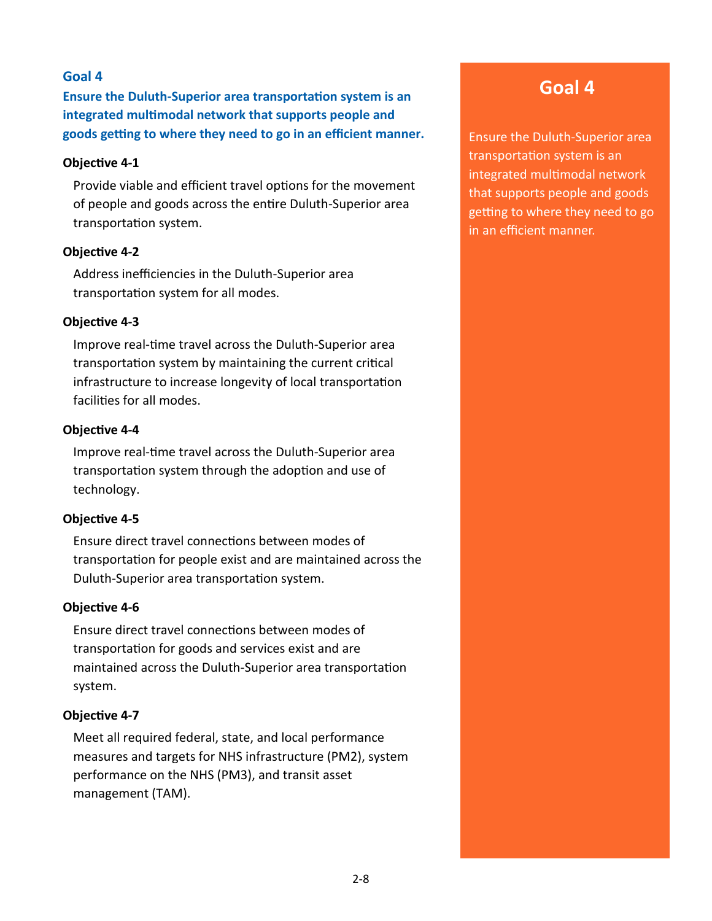**Ensure the Duluth-Superior area transportation system is an integrated multimodal network that supports people and goods getting to where they need to go in an efficient manner.**

#### **Objective 4-1**

Provide viable and efficient travel options for the movement of people and goods across the entire Duluth-Superior area transportation system.

#### **Objective 4-2**

Address inefficiencies in the Duluth-Superior area transportation system for all modes.

#### **Objective 4-3**

Improve real-time travel across the Duluth-Superior area transportation system by maintaining the current critical infrastructure to increase longevity of local transportation facilities for all modes.

#### **Objective 4-4**

Improve real-time travel across the Duluth-Superior area transportation system through the adoption and use of technology.

#### **Objective 4-5**

Ensure direct travel connections between modes of transportation for people exist and are maintained across the Duluth-Superior area transportation system.

#### **Objective 4-6**

Ensure direct travel connections between modes of transportation for goods and services exist and are maintained across the Duluth-Superior area transportation system.

#### **Objective 4-7**

Meet all required federal, state, and local performance measures and targets for NHS infrastructure (PM2), system performance on the NHS (PM3), and transit asset management (TAM).

## **Goal 4**

Ensure the Duluth-Superior area transportation system is an integrated multimodal network that supports people and goods getting to where they need to go in an efficient manner.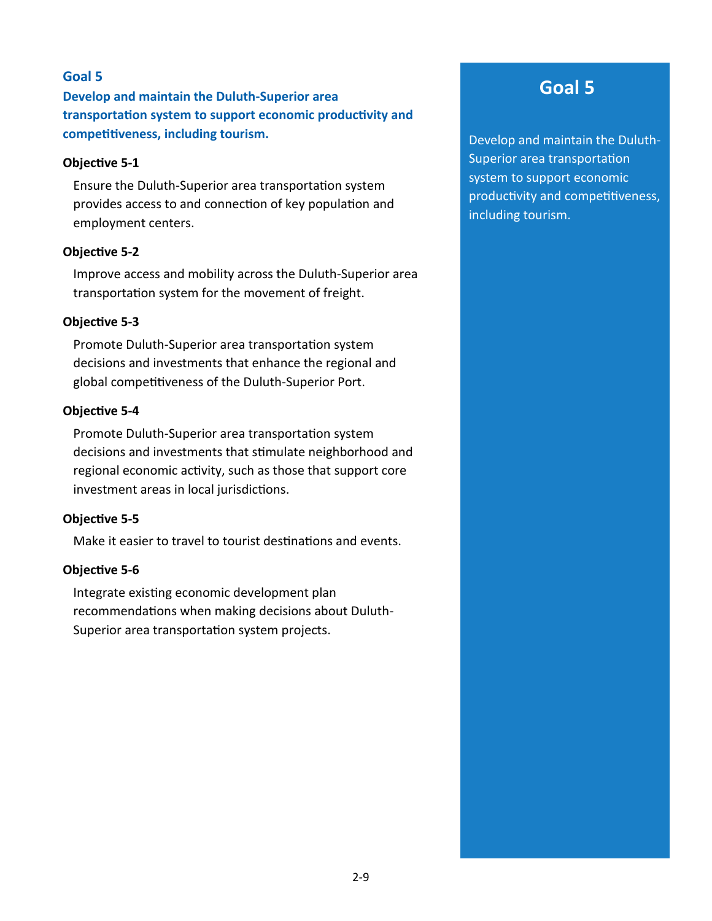**Develop and maintain the Duluth-Superior area transportation system to support economic productivity and competitiveness, including tourism.**

#### **Objective 5-1**

Ensure the Duluth-Superior area transportation system provides access to and connection of key population and employment centers.

#### **Objective 5-2**

Improve access and mobility across the Duluth-Superior area transportation system for the movement of freight.

#### **Objective 5-3**

Promote Duluth-Superior area transportation system decisions and investments that enhance the regional and global competitiveness of the Duluth-Superior Port.

#### **Objective 5-4**

Promote Duluth-Superior area transportation system decisions and investments that stimulate neighborhood and regional economic activity, such as those that support core investment areas in local jurisdictions.

#### **Objective 5-5**

Make it easier to travel to tourist destinations and events.

#### **Objective 5-6**

Integrate existing economic development plan recommendations when making decisions about Duluth-Superior area transportation system projects.

## **Goal 5**

Develop and maintain the Duluth-Superior area transportation system to support economic productivity and competitiveness, including tourism.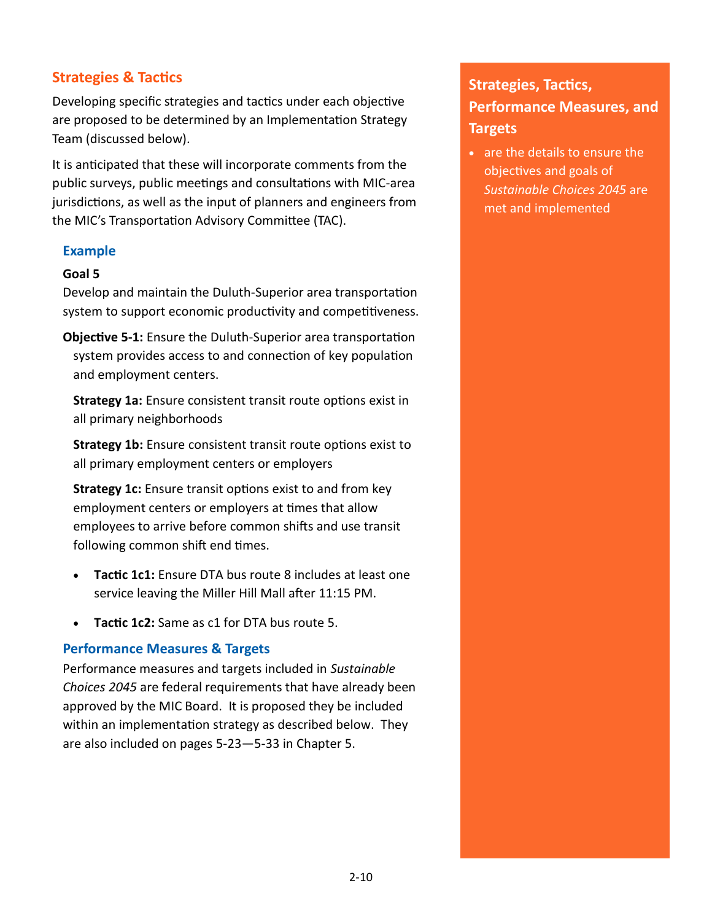#### **Strategies & Tactics**

Developing specific strategies and tactics under each objective are proposed to be determined by an Implementation Strategy Team (discussed below).

It is anticipated that these will incorporate comments from the public surveys, public meetings and consultations with MIC-area jurisdictions, as well as the input of planners and engineers from the MIC's Transportation Advisory Committee (TAC).

#### **Example**

#### **Goal 5**

Develop and maintain the Duluth-Superior area transportation system to support economic productivity and competitiveness.

**Objective 5-1:** Ensure the Duluth-Superior area transportation system provides access to and connection of key population and employment centers.

**Strategy 1a:** Ensure consistent transit route options exist in all primary neighborhoods

**Strategy 1b:** Ensure consistent transit route options exist to all primary employment centers or employers

**Strategy 1c:** Ensure transit options exist to and from key employment centers or employers at times that allow employees to arrive before common shifts and use transit following common shift end times.

- **Tactic 1c1:** Ensure DTA bus route 8 includes at least one service leaving the Miller Hill Mall after 11:15 PM.
- **Tactic 1c2:** Same as c1 for DTA bus route 5.

#### **Performance Measures & Targets**

Performance measures and targets included in *Sustainable Choices 2045* are federal requirements that have already been approved by the MIC Board. It is proposed they be included within an implementation strategy as described below. They are also included on pages 5-23—5-33 in Chapter 5.

## **Strategies, Tactics, Performance Measures, and Targets**

• are the details to ensure the objectives and goals of *Sustainable Choices 2045* are met and implemented